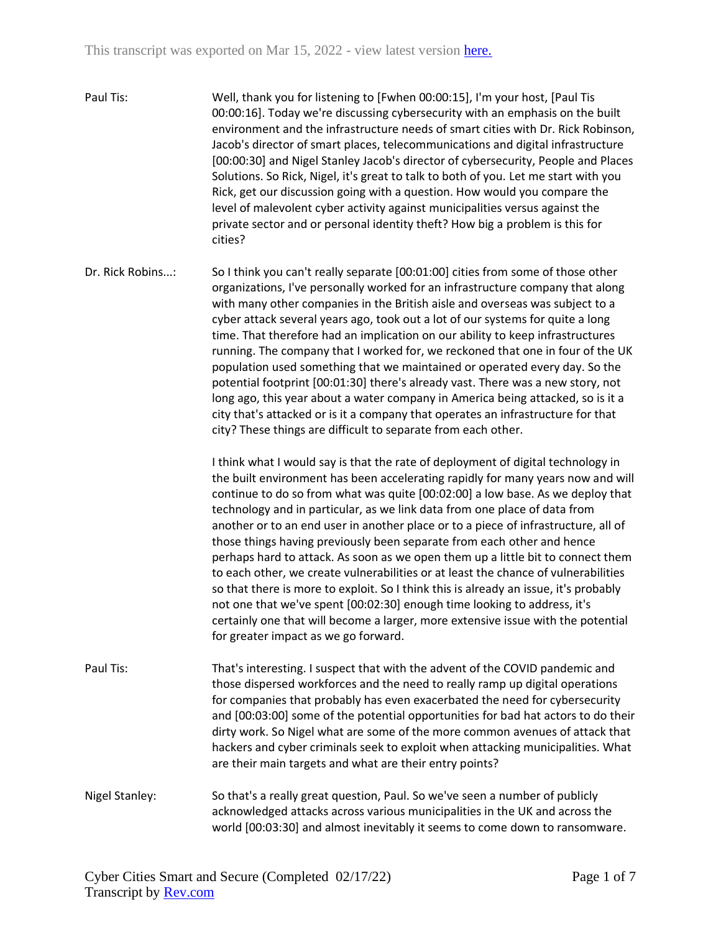- Paul Tis: Well, thank you for listening to [Fwhen 00:00:15], I'm your host, [Paul Tis 00:00:16]. Today we're discussing cybersecurity with an emphasis on the built environment and the infrastructure needs of smart cities with Dr. Rick Robinson, Jacob's director of smart places, telecommunications and digital infrastructure [00:00:30] and Nigel Stanley Jacob's director of cybersecurity, People and Places Solutions. So Rick, Nigel, it's great to talk to both of you. Let me start with you Rick, get our discussion going with a question. How would you compare the level of malevolent cyber activity against municipalities versus against the private sector and or personal identity theft? How big a problem is this for cities?
- Dr. Rick Robins...: So I think you can't really separate [00:01:00] cities from some of those other organizations, I've personally worked for an infrastructure company that along with many other companies in the British aisle and overseas was subject to a cyber attack several years ago, took out a lot of our systems for quite a long time. That therefore had an implication on our ability to keep infrastructures running. The company that I worked for, we reckoned that one in four of the UK population used something that we maintained or operated every day. So the potential footprint [00:01:30] there's already vast. There was a new story, not long ago, this year about a water company in America being attacked, so is it a city that's attacked or is it a company that operates an infrastructure for that city? These things are difficult to separate from each other.

I think what I would say is that the rate of deployment of digital technology in the built environment has been accelerating rapidly for many years now and will continue to do so from what was quite [00:02:00] a low base. As we deploy that technology and in particular, as we link data from one place of data from another or to an end user in another place or to a piece of infrastructure, all of those things having previously been separate from each other and hence perhaps hard to attack. As soon as we open them up a little bit to connect them to each other, we create vulnerabilities or at least the chance of vulnerabilities so that there is more to exploit. So I think this is already an issue, it's probably not one that we've spent [00:02:30] enough time looking to address, it's certainly one that will become a larger, more extensive issue with the potential for greater impact as we go forward.

- Paul Tis: That's interesting. I suspect that with the advent of the COVID pandemic and those dispersed workforces and the need to really ramp up digital operations for companies that probably has even exacerbated the need for cybersecurity and [00:03:00] some of the potential opportunities for bad hat actors to do their dirty work. So Nigel what are some of the more common avenues of attack that hackers and cyber criminals seek to exploit when attacking municipalities. What are their main targets and what are their entry points?
- Nigel Stanley: So that's a really great question, Paul. So we've seen a number of publicly acknowledged attacks across various municipalities in the UK and across the world [00:03:30] and almost inevitably it seems to come down to ransomware.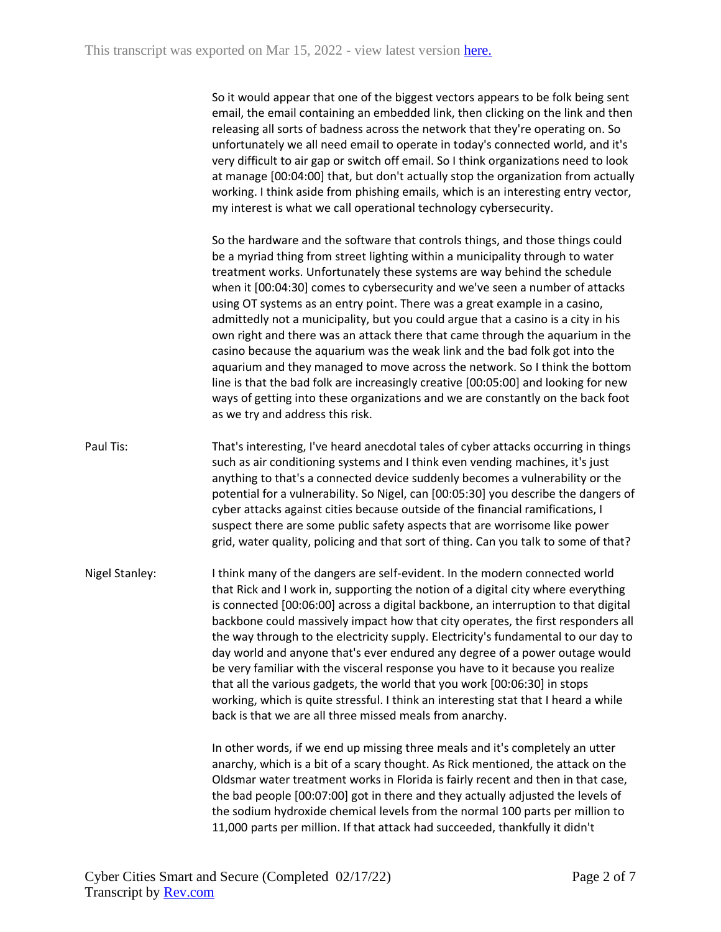So it would appear that one of the biggest vectors appears to be folk being sent email, the email containing an embedded link, then clicking on the link and then releasing all sorts of badness across the network that they're operating on. So unfortunately we all need email to operate in today's connected world, and it's very difficult to air gap or switch off email. So I think organizations need to look at manage [00:04:00] that, but don't actually stop the organization from actually working. I think aside from phishing emails, which is an interesting entry vector, my interest is what we call operational technology cybersecurity.

So the hardware and the software that controls things, and those things could be a myriad thing from street lighting within a municipality through to water treatment works. Unfortunately these systems are way behind the schedule when it [00:04:30] comes to cybersecurity and we've seen a number of attacks using OT systems as an entry point. There was a great example in a casino, admittedly not a municipality, but you could argue that a casino is a city in his own right and there was an attack there that came through the aquarium in the casino because the aquarium was the weak link and the bad folk got into the aquarium and they managed to move across the network. So I think the bottom line is that the bad folk are increasingly creative [00:05:00] and looking for new ways of getting into these organizations and we are constantly on the back foot as we try and address this risk.

- Paul Tis: That's interesting, I've heard anecdotal tales of cyber attacks occurring in things such as air conditioning systems and I think even vending machines, it's just anything to that's a connected device suddenly becomes a vulnerability or the potential for a vulnerability. So Nigel, can [00:05:30] you describe the dangers of cyber attacks against cities because outside of the financial ramifications, I suspect there are some public safety aspects that are worrisome like power grid, water quality, policing and that sort of thing. Can you talk to some of that?
- Nigel Stanley: I think many of the dangers are self-evident. In the modern connected world that Rick and I work in, supporting the notion of a digital city where everything is connected [00:06:00] across a digital backbone, an interruption to that digital backbone could massively impact how that city operates, the first responders all the way through to the electricity supply. Electricity's fundamental to our day to day world and anyone that's ever endured any degree of a power outage would be very familiar with the visceral response you have to it because you realize that all the various gadgets, the world that you work [00:06:30] in stops working, which is quite stressful. I think an interesting stat that I heard a while back is that we are all three missed meals from anarchy.

In other words, if we end up missing three meals and it's completely an utter anarchy, which is a bit of a scary thought. As Rick mentioned, the attack on the Oldsmar water treatment works in Florida is fairly recent and then in that case, the bad people [00:07:00] got in there and they actually adjusted the levels of the sodium hydroxide chemical levels from the normal 100 parts per million to 11,000 parts per million. If that attack had succeeded, thankfully it didn't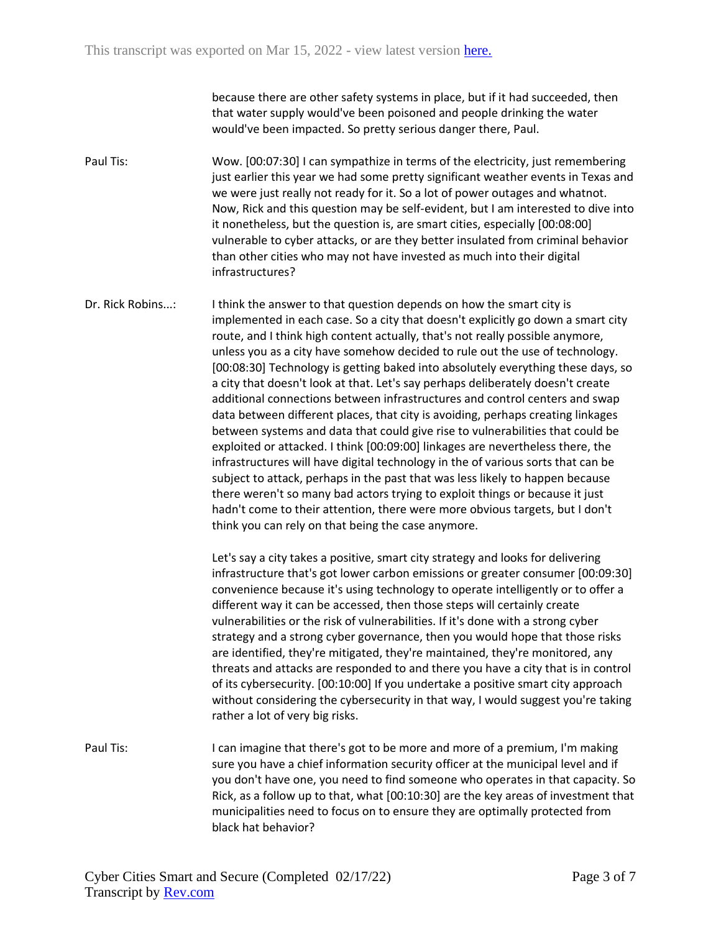because there are other safety systems in place, but if it had succeeded, then that water supply would've been poisoned and people drinking the water would've been impacted. So pretty serious danger there, Paul.

Paul Tis: Wow. [00:07:30] I can sympathize in terms of the electricity, just remembering just earlier this year we had some pretty significant weather events in Texas and we were just really not ready for it. So a lot of power outages and whatnot. Now, Rick and this question may be self-evident, but I am interested to dive into it nonetheless, but the question is, are smart cities, especially [00:08:00] vulnerable to cyber attacks, or are they better insulated from criminal behavior than other cities who may not have invested as much into their digital infrastructures?

Dr. Rick Robins...: I think the answer to that question depends on how the smart city is implemented in each case. So a city that doesn't explicitly go down a smart city route, and I think high content actually, that's not really possible anymore, unless you as a city have somehow decided to rule out the use of technology. [00:08:30] Technology is getting baked into absolutely everything these days, so a city that doesn't look at that. Let's say perhaps deliberately doesn't create additional connections between infrastructures and control centers and swap data between different places, that city is avoiding, perhaps creating linkages between systems and data that could give rise to vulnerabilities that could be exploited or attacked. I think [00:09:00] linkages are nevertheless there, the infrastructures will have digital technology in the of various sorts that can be subject to attack, perhaps in the past that was less likely to happen because there weren't so many bad actors trying to exploit things or because it just hadn't come to their attention, there were more obvious targets, but I don't think you can rely on that being the case anymore.

> Let's say a city takes a positive, smart city strategy and looks for delivering infrastructure that's got lower carbon emissions or greater consumer [00:09:30] convenience because it's using technology to operate intelligently or to offer a different way it can be accessed, then those steps will certainly create vulnerabilities or the risk of vulnerabilities. If it's done with a strong cyber strategy and a strong cyber governance, then you would hope that those risks are identified, they're mitigated, they're maintained, they're monitored, any threats and attacks are responded to and there you have a city that is in control of its cybersecurity. [00:10:00] If you undertake a positive smart city approach without considering the cybersecurity in that way, I would suggest you're taking rather a lot of very big risks.

Paul Tis: I can imagine that there's got to be more and more of a premium, I'm making sure you have a chief information security officer at the municipal level and if you don't have one, you need to find someone who operates in that capacity. So Rick, as a follow up to that, what [00:10:30] are the key areas of investment that municipalities need to focus on to ensure they are optimally protected from black hat behavior?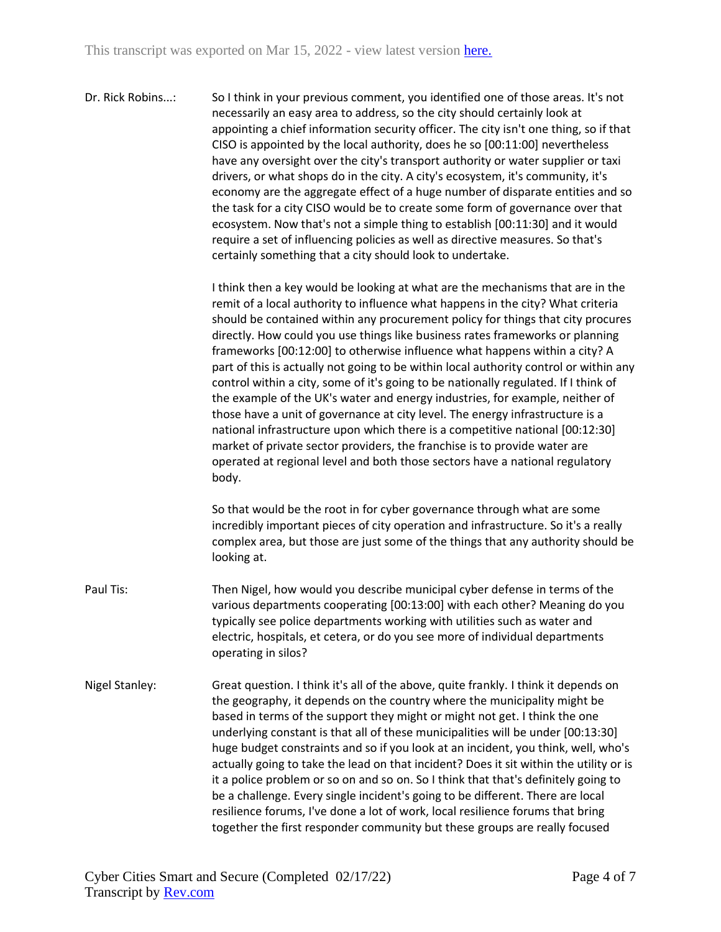| Dr. Rick Robins: | So I think in your previous comment, you identified one of those areas. It's not<br>necessarily an easy area to address, so the city should certainly look at<br>appointing a chief information security officer. The city isn't one thing, so if that<br>CISO is appointed by the local authority, does he so [00:11:00] nevertheless<br>have any oversight over the city's transport authority or water supplier or taxi<br>drivers, or what shops do in the city. A city's ecosystem, it's community, it's<br>economy are the aggregate effect of a huge number of disparate entities and so<br>the task for a city CISO would be to create some form of governance over that<br>ecosystem. Now that's not a simple thing to establish [00:11:30] and it would |
|------------------|-------------------------------------------------------------------------------------------------------------------------------------------------------------------------------------------------------------------------------------------------------------------------------------------------------------------------------------------------------------------------------------------------------------------------------------------------------------------------------------------------------------------------------------------------------------------------------------------------------------------------------------------------------------------------------------------------------------------------------------------------------------------|
|                  | require a set of influencing policies as well as directive measures. So that's<br>certainly something that a city should look to undertake.                                                                                                                                                                                                                                                                                                                                                                                                                                                                                                                                                                                                                       |

I think then a key would be looking at what are the mechanisms that are in the remit of a local authority to influence what happens in the city? What criteria should be contained within any procurement policy for things that city procures directly. How could you use things like business rates frameworks or planning frameworks [00:12:00] to otherwise influence what happens within a city? A part of this is actually not going to be within local authority control or within any control within a city, some of it's going to be nationally regulated. If I think of the example of the UK's water and energy industries, for example, neither of those have a unit of governance at city level. The energy infrastructure is a national infrastructure upon which there is a competitive national [00:12:30] market of private sector providers, the franchise is to provide water are operated at regional level and both those sectors have a national regulatory body.

So that would be the root in for cyber governance through what are some incredibly important pieces of city operation and infrastructure. So it's a really complex area, but those are just some of the things that any authority should be looking at.

- Paul Tis: Then Nigel, how would you describe municipal cyber defense in terms of the various departments cooperating [00:13:00] with each other? Meaning do you typically see police departments working with utilities such as water and electric, hospitals, et cetera, or do you see more of individual departments operating in silos?
- Nigel Stanley: Great question. I think it's all of the above, quite frankly. I think it depends on the geography, it depends on the country where the municipality might be based in terms of the support they might or might not get. I think the one underlying constant is that all of these municipalities will be under [00:13:30] huge budget constraints and so if you look at an incident, you think, well, who's actually going to take the lead on that incident? Does it sit within the utility or is it a police problem or so on and so on. So I think that that's definitely going to be a challenge. Every single incident's going to be different. There are local resilience forums, I've done a lot of work, local resilience forums that bring together the first responder community but these groups are really focused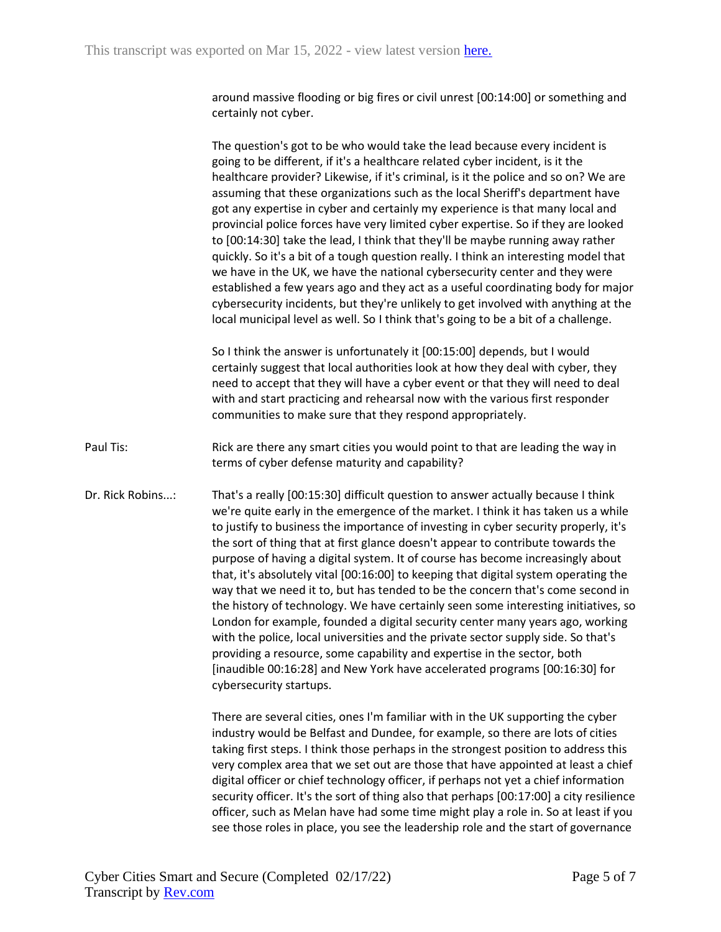around massive flooding or big fires or civil unrest [00:14:00] or something and certainly not cyber.

The question's got to be who would take the lead because every incident is going to be different, if it's a healthcare related cyber incident, is it the healthcare provider? Likewise, if it's criminal, is it the police and so on? We are assuming that these organizations such as the local Sheriff's department have got any expertise in cyber and certainly my experience is that many local and provincial police forces have very limited cyber expertise. So if they are looked to [00:14:30] take the lead, I think that they'll be maybe running away rather quickly. So it's a bit of a tough question really. I think an interesting model that we have in the UK, we have the national cybersecurity center and they were established a few years ago and they act as a useful coordinating body for major cybersecurity incidents, but they're unlikely to get involved with anything at the local municipal level as well. So I think that's going to be a bit of a challenge.

So I think the answer is unfortunately it [00:15:00] depends, but I would certainly suggest that local authorities look at how they deal with cyber, they need to accept that they will have a cyber event or that they will need to deal with and start practicing and rehearsal now with the various first responder communities to make sure that they respond appropriately.

- Paul Tis: Rick are there any smart cities you would point to that are leading the way in terms of cyber defense maturity and capability?
- Dr. Rick Robins...: That's a really [00:15:30] difficult question to answer actually because I think we're quite early in the emergence of the market. I think it has taken us a while to justify to business the importance of investing in cyber security properly, it's the sort of thing that at first glance doesn't appear to contribute towards the purpose of having a digital system. It of course has become increasingly about that, it's absolutely vital [00:16:00] to keeping that digital system operating the way that we need it to, but has tended to be the concern that's come second in the history of technology. We have certainly seen some interesting initiatives, so London for example, founded a digital security center many years ago, working with the police, local universities and the private sector supply side. So that's providing a resource, some capability and expertise in the sector, both [inaudible 00:16:28] and New York have accelerated programs [00:16:30] for cybersecurity startups.

There are several cities, ones I'm familiar with in the UK supporting the cyber industry would be Belfast and Dundee, for example, so there are lots of cities taking first steps. I think those perhaps in the strongest position to address this very complex area that we set out are those that have appointed at least a chief digital officer or chief technology officer, if perhaps not yet a chief information security officer. It's the sort of thing also that perhaps [00:17:00] a city resilience officer, such as Melan have had some time might play a role in. So at least if you see those roles in place, you see the leadership role and the start of governance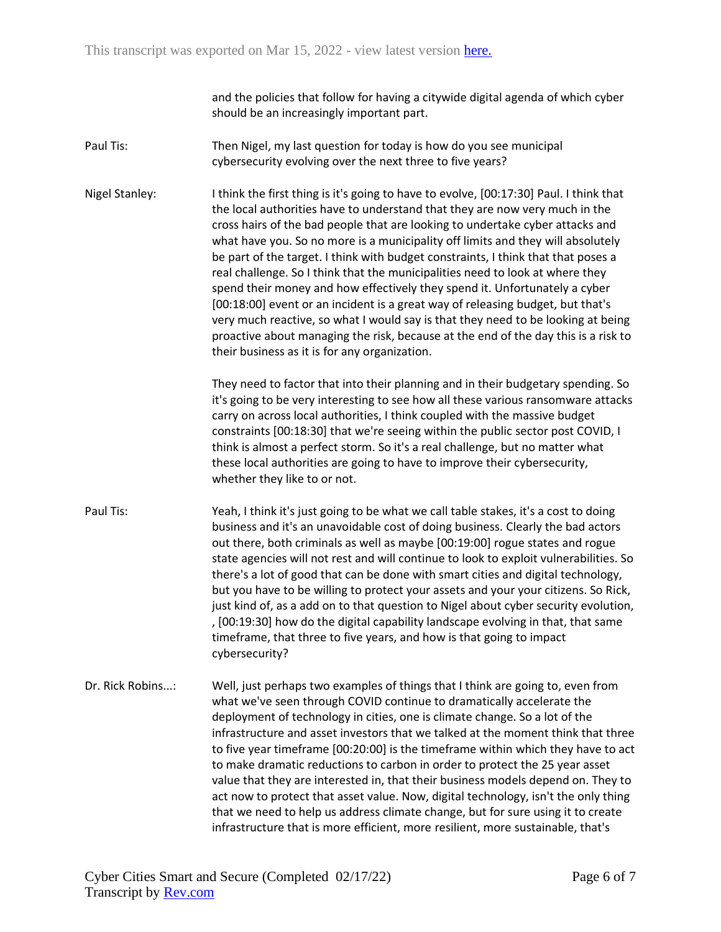and the policies that follow for having a citywide digital agenda of which cyber should be an increasingly important part.

- Paul Tis: Then Nigel, my last question for today is how do you see municipal cybersecurity evolving over the next three to five years?
- Nigel Stanley: I think the first thing is it's going to have to evolve, [00:17:30] Paul. I think that the local authorities have to understand that they are now very much in the cross hairs of the bad people that are looking to undertake cyber attacks and what have you. So no more is a municipality off limits and they will absolutely be part of the target. I think with budget constraints, I think that that poses a real challenge. So I think that the municipalities need to look at where they spend their money and how effectively they spend it. Unfortunately a cyber [00:18:00] event or an incident is a great way of releasing budget, but that's very much reactive, so what I would say is that they need to be looking at being proactive about managing the risk, because at the end of the day this is a risk to their business as it is for any organization.

They need to factor that into their planning and in their budgetary spending. So it's going to be very interesting to see how all these various ransomware attacks carry on across local authorities, I think coupled with the massive budget constraints [00:18:30] that we're seeing within the public sector post COVID, I think is almost a perfect storm. So it's a real challenge, but no matter what these local authorities are going to have to improve their cybersecurity, whether they like to or not.

- Paul Tis: Yeah, I think it's just going to be what we call table stakes, it's a cost to doing business and it's an unavoidable cost of doing business. Clearly the bad actors out there, both criminals as well as maybe [00:19:00] rogue states and rogue state agencies will not rest and will continue to look to exploit vulnerabilities. So there's a lot of good that can be done with smart cities and digital technology, but you have to be willing to protect your assets and your your citizens. So Rick, just kind of, as a add on to that question to Nigel about cyber security evolution, , [00:19:30] how do the digital capability landscape evolving in that, that same timeframe, that three to five years, and how is that going to impact cybersecurity?
- Dr. Rick Robins...: Well, just perhaps two examples of things that I think are going to, even from what we've seen through COVID continue to dramatically accelerate the deployment of technology in cities, one is climate change. So a lot of the infrastructure and asset investors that we talked at the moment think that three to five year timeframe [00:20:00] is the timeframe within which they have to act to make dramatic reductions to carbon in order to protect the 25 year asset value that they are interested in, that their business models depend on. They to act now to protect that asset value. Now, digital technology, isn't the only thing that we need to help us address climate change, but for sure using it to create infrastructure that is more efficient, more resilient, more sustainable, that's